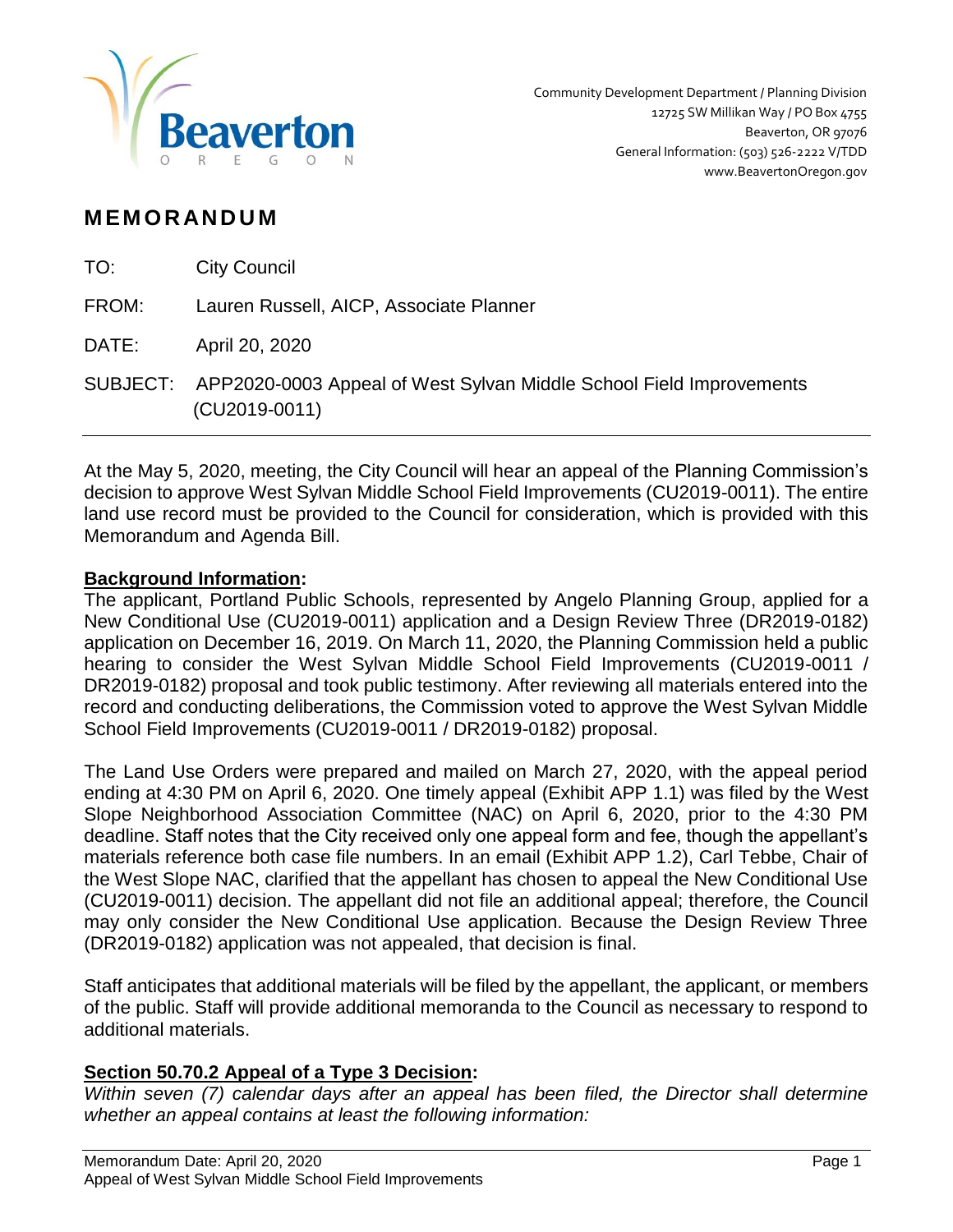

# **M EM O R AN D U M**

| TO:   | <b>City Council</b>                                                                             |
|-------|-------------------------------------------------------------------------------------------------|
| FROM: | Lauren Russell, AICP, Associate Planner                                                         |
| DATE: | April 20, 2020                                                                                  |
|       | SUBJECT: APP2020-0003 Appeal of West Sylvan Middle School Field Improvements<br>$(CU2019-0011)$ |

At the May 5, 2020, meeting, the City Council will hear an appeal of the Planning Commission's decision to approve West Sylvan Middle School Field Improvements (CU2019-0011). The entire land use record must be provided to the Council for consideration, which is provided with this Memorandum and Agenda Bill.

#### **Background Information:**

The applicant, Portland Public Schools, represented by Angelo Planning Group, applied for a New Conditional Use (CU2019-0011) application and a Design Review Three (DR2019-0182) application on December 16, 2019. On March 11, 2020, the Planning Commission held a public hearing to consider the West Sylvan Middle School Field Improvements (CU2019-0011 / DR2019-0182) proposal and took public testimony. After reviewing all materials entered into the record and conducting deliberations, the Commission voted to approve the West Sylvan Middle School Field Improvements (CU2019-0011 / DR2019-0182) proposal.

The Land Use Orders were prepared and mailed on March 27, 2020, with the appeal period ending at 4:30 PM on April 6, 2020. One timely appeal (Exhibit APP 1.1) was filed by the West Slope Neighborhood Association Committee (NAC) on April 6, 2020, prior to the 4:30 PM deadline. Staff notes that the City received only one appeal form and fee, though the appellant's materials reference both case file numbers. In an email (Exhibit APP 1.2), Carl Tebbe, Chair of the West Slope NAC, clarified that the appellant has chosen to appeal the New Conditional Use (CU2019-0011) decision. The appellant did not file an additional appeal; therefore, the Council may only consider the New Conditional Use application. Because the Design Review Three (DR2019-0182) application was not appealed, that decision is final.

Staff anticipates that additional materials will be filed by the appellant, the applicant, or members of the public. Staff will provide additional memoranda to the Council as necessary to respond to additional materials.

### **Section 50.70.2 Appeal of a Type 3 Decision:**

*Within seven (7) calendar days after an appeal has been filed, the Director shall determine whether an appeal contains at least the following information:*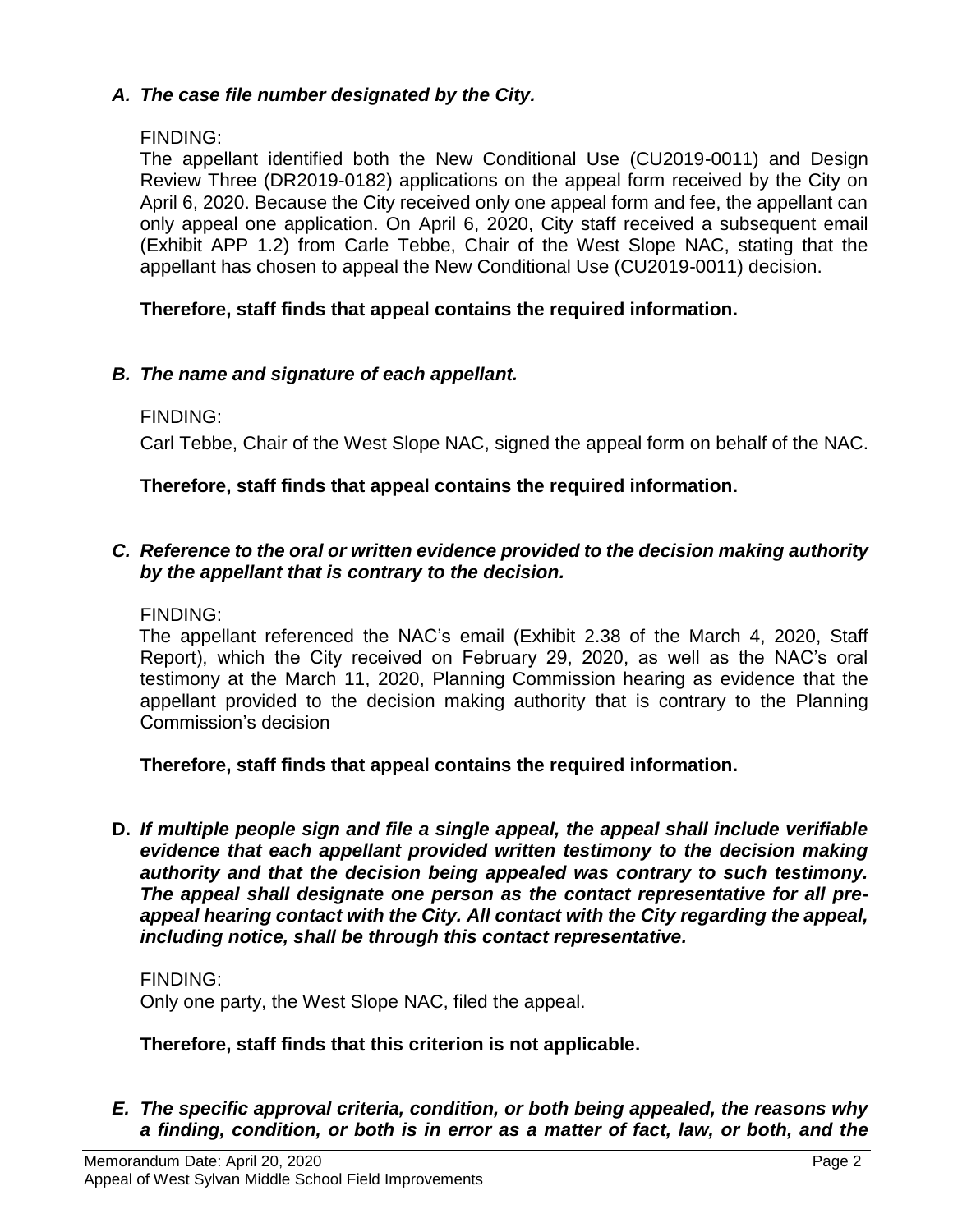## *A. The case file number designated by the City.*

## FINDING:

The appellant identified both the New Conditional Use (CU2019-0011) and Design Review Three (DR2019-0182) applications on the appeal form received by the City on April 6, 2020. Because the City received only one appeal form and fee, the appellant can only appeal one application. On April 6, 2020, City staff received a subsequent email (Exhibit APP 1.2) from Carle Tebbe, Chair of the West Slope NAC, stating that the appellant has chosen to appeal the New Conditional Use (CU2019-0011) decision.

# **Therefore, staff finds that appeal contains the required information.**

# *B. The name and signature of each appellant.*

# FINDING:

Carl Tebbe, Chair of the West Slope NAC, signed the appeal form on behalf of the NAC.

# **Therefore, staff finds that appeal contains the required information.**

# *C. Reference to the oral or written evidence provided to the decision making authority by the appellant that is contrary to the decision.*

## FINDING:

The appellant referenced the NAC's email (Exhibit 2.38 of the March 4, 2020, Staff Report), which the City received on February 29, 2020, as well as the NAC's oral testimony at the March 11, 2020, Planning Commission hearing as evidence that the appellant provided to the decision making authority that is contrary to the Planning Commission's decision

### **Therefore, staff finds that appeal contains the required information.**

**D.** *If multiple people sign and file a single appeal, the appeal shall include verifiable evidence that each appellant provided written testimony to the decision making authority and that the decision being appealed was contrary to such testimony. The appeal shall designate one person as the contact representative for all preappeal hearing contact with the City. All contact with the City regarding the appeal, including notice, shall be through this contact representative.*

### FINDING:

Only one party, the West Slope NAC, filed the appeal.

### **Therefore, staff finds that this criterion is not applicable.**

*E. The specific approval criteria, condition, or both being appealed, the reasons why a finding, condition, or both is in error as a matter of fact, law, or both, and the*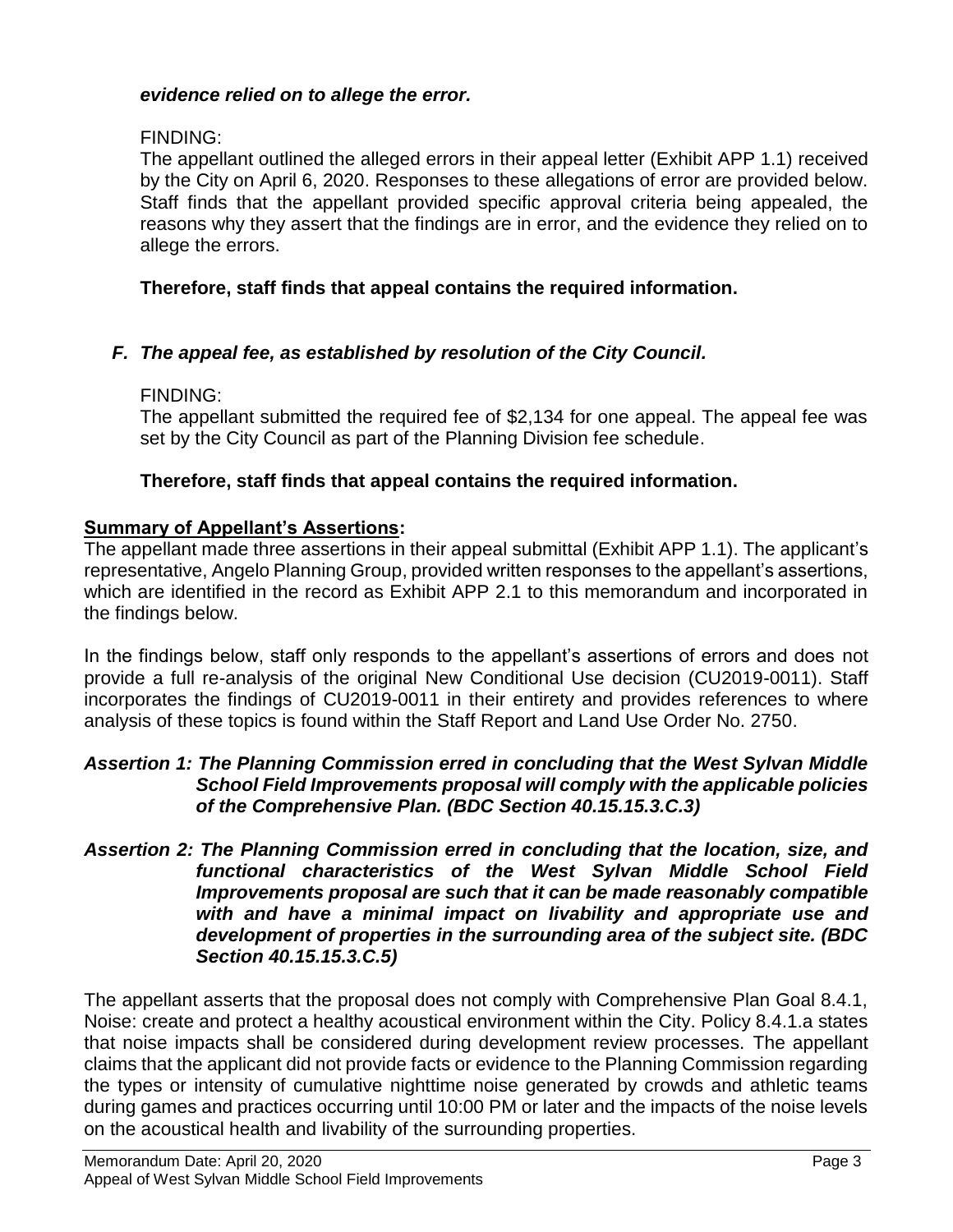#### *evidence relied on to allege the error.*

#### FINDING:

The appellant outlined the alleged errors in their appeal letter (Exhibit APP 1.1) received by the City on April 6, 2020. Responses to these allegations of error are provided below. Staff finds that the appellant provided specific approval criteria being appealed, the reasons why they assert that the findings are in error, and the evidence they relied on to allege the errors.

### **Therefore, staff finds that appeal contains the required information.**

# *F. The appeal fee, as established by resolution of the City Council.*

### FINDING:

The appellant submitted the required fee of \$2,134 for one appeal. The appeal fee was set by the City Council as part of the Planning Division fee schedule.

# **Therefore, staff finds that appeal contains the required information.**

# **Summary of Appellant's Assertions:**

The appellant made three assertions in their appeal submittal (Exhibit APP 1.1). The applicant's representative, Angelo Planning Group, provided written responses to the appellant's assertions, which are identified in the record as Exhibit APP 2.1 to this memorandum and incorporated in the findings below.

In the findings below, staff only responds to the appellant's assertions of errors and does not provide a full re-analysis of the original New Conditional Use decision (CU2019-0011). Staff incorporates the findings of CU2019-0011 in their entirety and provides references to where analysis of these topics is found within the Staff Report and Land Use Order No. 2750.

#### *Assertion 1: The Planning Commission erred in concluding that the West Sylvan Middle School Field Improvements proposal will comply with the applicable policies of the Comprehensive Plan. (BDC Section 40.15.15.3.C.3)*

#### *Assertion 2: The Planning Commission erred in concluding that the location, size, and functional characteristics of the West Sylvan Middle School Field Improvements proposal are such that it can be made reasonably compatible with and have a minimal impact on livability and appropriate use and development of properties in the surrounding area of the subject site. (BDC Section 40.15.15.3.C.5)*

The appellant asserts that the proposal does not comply with Comprehensive Plan Goal 8.4.1, Noise: create and protect a healthy acoustical environment within the City. Policy 8.4.1.a states that noise impacts shall be considered during development review processes. The appellant claims that the applicant did not provide facts or evidence to the Planning Commission regarding the types or intensity of cumulative nighttime noise generated by crowds and athletic teams during games and practices occurring until 10:00 PM or later and the impacts of the noise levels on the acoustical health and livability of the surrounding properties.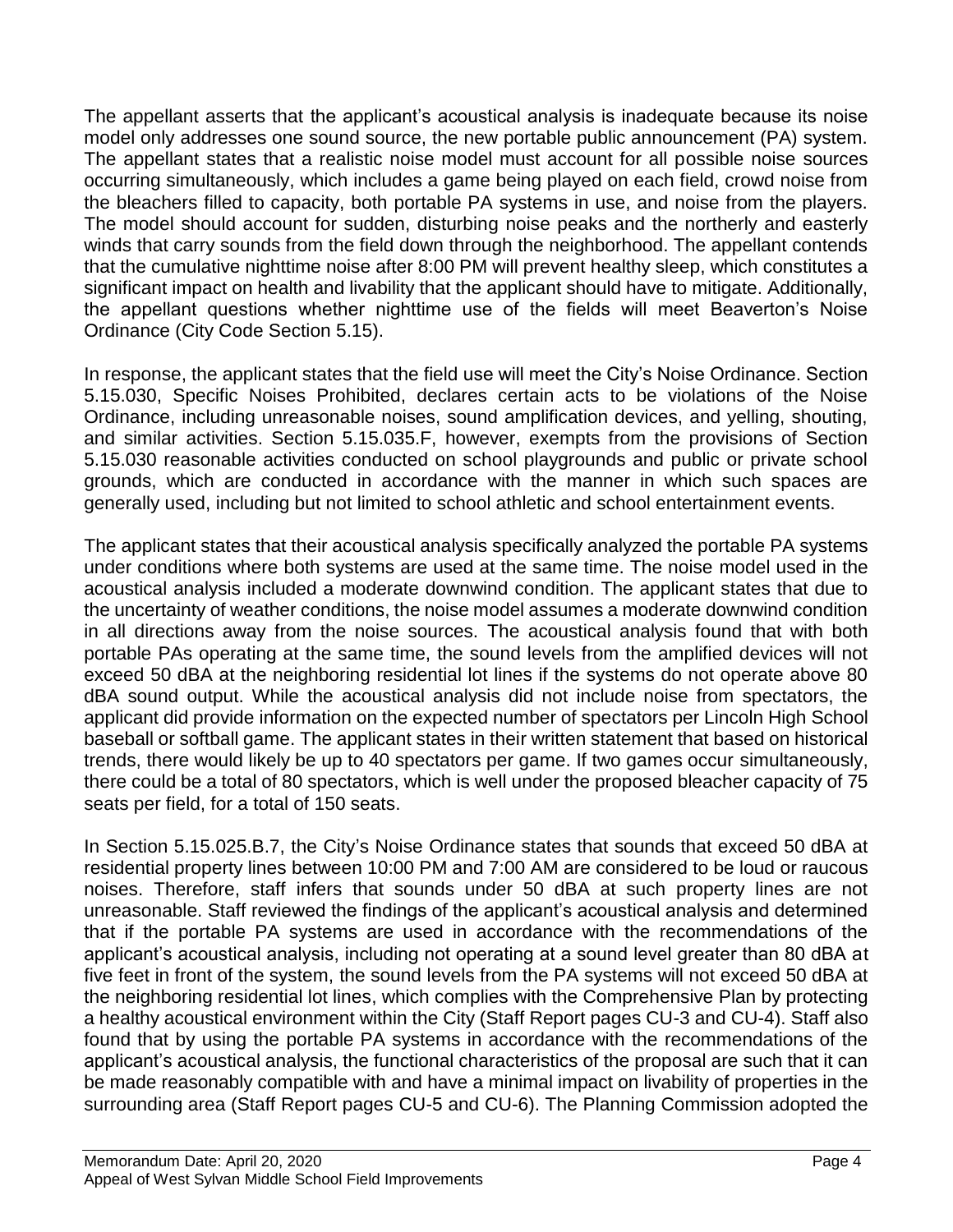The appellant asserts that the applicant's acoustical analysis is inadequate because its noise model only addresses one sound source, the new portable public announcement (PA) system. The appellant states that a realistic noise model must account for all possible noise sources occurring simultaneously, which includes a game being played on each field, crowd noise from the bleachers filled to capacity, both portable PA systems in use, and noise from the players. The model should account for sudden, disturbing noise peaks and the northerly and easterly winds that carry sounds from the field down through the neighborhood. The appellant contends that the cumulative nighttime noise after 8:00 PM will prevent healthy sleep, which constitutes a significant impact on health and livability that the applicant should have to mitigate. Additionally, the appellant questions whether nighttime use of the fields will meet Beaverton's Noise Ordinance (City Code Section 5.15).

In response, the applicant states that the field use will meet the City's Noise Ordinance. Section 5.15.030, Specific Noises Prohibited, declares certain acts to be violations of the Noise Ordinance, including unreasonable noises, sound amplification devices, and yelling, shouting, and similar activities. Section 5.15.035.F, however, exempts from the provisions of Section 5.15.030 reasonable activities conducted on school playgrounds and public or private school grounds, which are conducted in accordance with the manner in which such spaces are generally used, including but not limited to school athletic and school entertainment events.

The applicant states that their acoustical analysis specifically analyzed the portable PA systems under conditions where both systems are used at the same time. The noise model used in the acoustical analysis included a moderate downwind condition. The applicant states that due to the uncertainty of weather conditions, the noise model assumes a moderate downwind condition in all directions away from the noise sources. The acoustical analysis found that with both portable PAs operating at the same time, the sound levels from the amplified devices will not exceed 50 dBA at the neighboring residential lot lines if the systems do not operate above 80 dBA sound output. While the acoustical analysis did not include noise from spectators, the applicant did provide information on the expected number of spectators per Lincoln High School baseball or softball game. The applicant states in their written statement that based on historical trends, there would likely be up to 40 spectators per game. If two games occur simultaneously, there could be a total of 80 spectators, which is well under the proposed bleacher capacity of 75 seats per field, for a total of 150 seats.

In Section 5.15.025.B.7, the City's Noise Ordinance states that sounds that exceed 50 dBA at residential property lines between 10:00 PM and 7:00 AM are considered to be loud or raucous noises. Therefore, staff infers that sounds under 50 dBA at such property lines are not unreasonable. Staff reviewed the findings of the applicant's acoustical analysis and determined that if the portable PA systems are used in accordance with the recommendations of the applicant's acoustical analysis, including not operating at a sound level greater than 80 dBA at five feet in front of the system, the sound levels from the PA systems will not exceed 50 dBA at the neighboring residential lot lines, which complies with the Comprehensive Plan by protecting a healthy acoustical environment within the City (Staff Report pages CU-3 and CU-4). Staff also found that by using the portable PA systems in accordance with the recommendations of the applicant's acoustical analysis, the functional characteristics of the proposal are such that it can be made reasonably compatible with and have a minimal impact on livability of properties in the surrounding area (Staff Report pages CU-5 and CU-6). The Planning Commission adopted the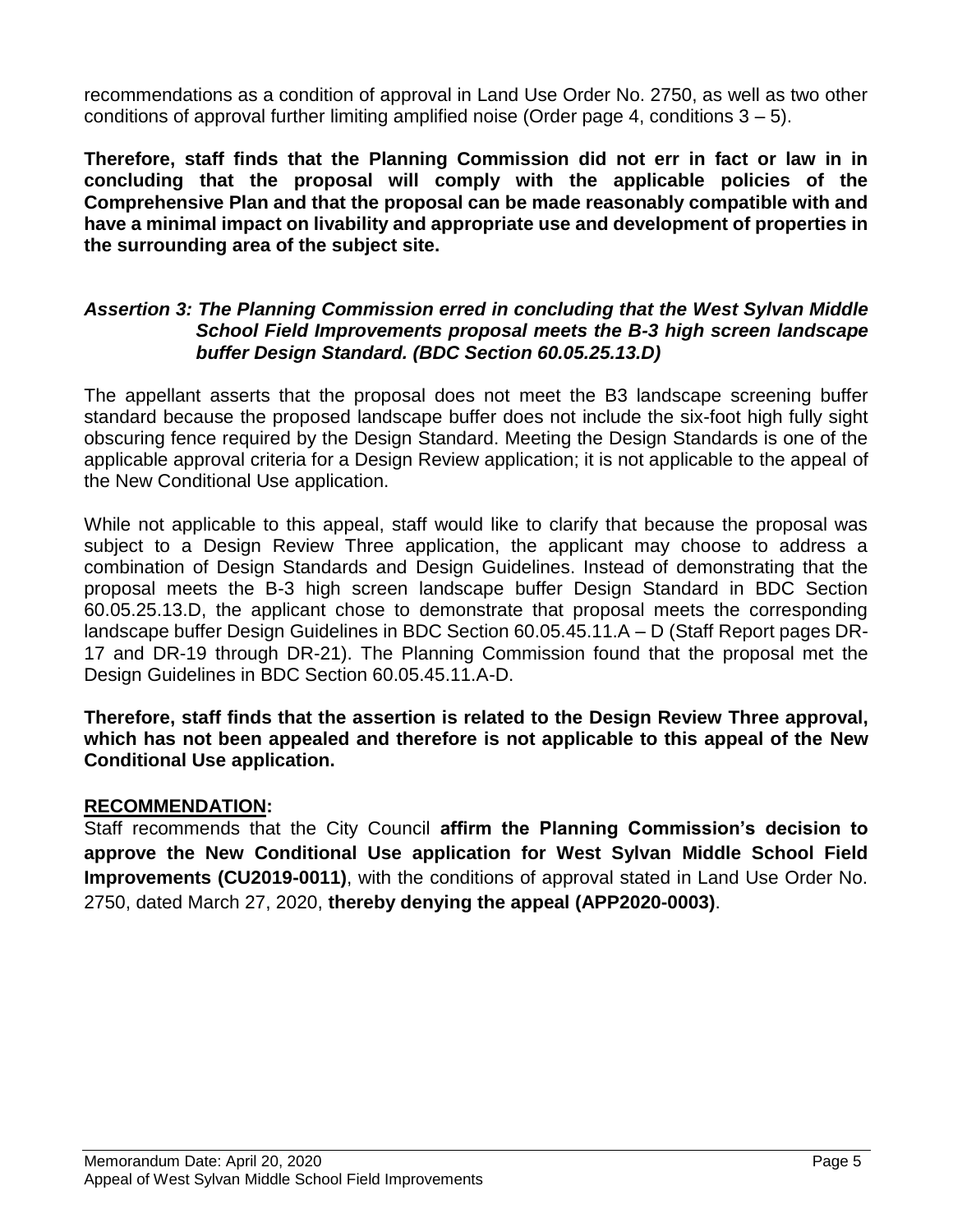recommendations as a condition of approval in Land Use Order No. 2750, as well as two other conditions of approval further limiting amplified noise (Order page 4, conditions  $3 - 5$ ).

**Therefore, staff finds that the Planning Commission did not err in fact or law in in concluding that the proposal will comply with the applicable policies of the Comprehensive Plan and that the proposal can be made reasonably compatible with and have a minimal impact on livability and appropriate use and development of properties in the surrounding area of the subject site.**

#### *Assertion 3: The Planning Commission erred in concluding that the West Sylvan Middle School Field Improvements proposal meets the B-3 high screen landscape buffer Design Standard. (BDC Section 60.05.25.13.D)*

The appellant asserts that the proposal does not meet the B3 landscape screening buffer standard because the proposed landscape buffer does not include the six-foot high fully sight obscuring fence required by the Design Standard. Meeting the Design Standards is one of the applicable approval criteria for a Design Review application; it is not applicable to the appeal of the New Conditional Use application.

While not applicable to this appeal, staff would like to clarify that because the proposal was subject to a Design Review Three application, the applicant may choose to address a combination of Design Standards and Design Guidelines. Instead of demonstrating that the proposal meets the B-3 high screen landscape buffer Design Standard in BDC Section 60.05.25.13.D, the applicant chose to demonstrate that proposal meets the corresponding landscape buffer Design Guidelines in BDC Section 60.05.45.11.A – D (Staff Report pages DR-17 and DR-19 through DR-21). The Planning Commission found that the proposal met the Design Guidelines in BDC Section 60.05.45.11.A-D.

**Therefore, staff finds that the assertion is related to the Design Review Three approval, which has not been appealed and therefore is not applicable to this appeal of the New Conditional Use application.**

### **RECOMMENDATION:**

Staff recommends that the City Council **affirm the Planning Commission's decision to approve the New Conditional Use application for West Sylvan Middle School Field Improvements (CU2019-0011)**, with the conditions of approval stated in Land Use Order No. 2750, dated March 27, 2020, **thereby denying the appeal (APP2020-0003)**.